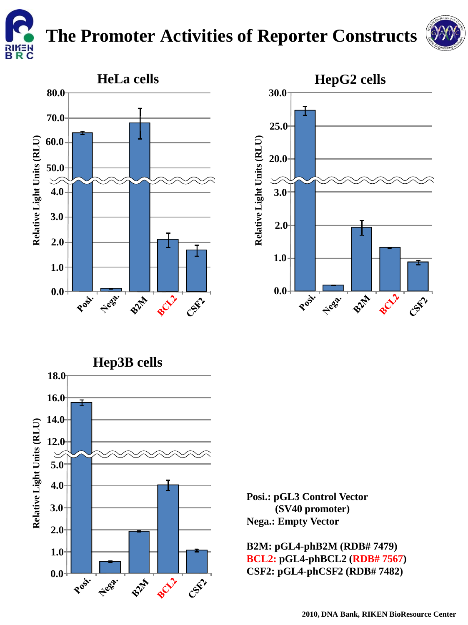

## **The Promoter Activities of Reporter Constructs**









**Posi.: pGL3 Control Vector (SV40 promoter) Nega.: Empty Vector**

**B2M: pGL4-phB2M (RDB# 7479) BCL2: pGL4-phBCL2 (RDB# 7567) CSF2: pGL4-phCSF2 (RDB# 7482)**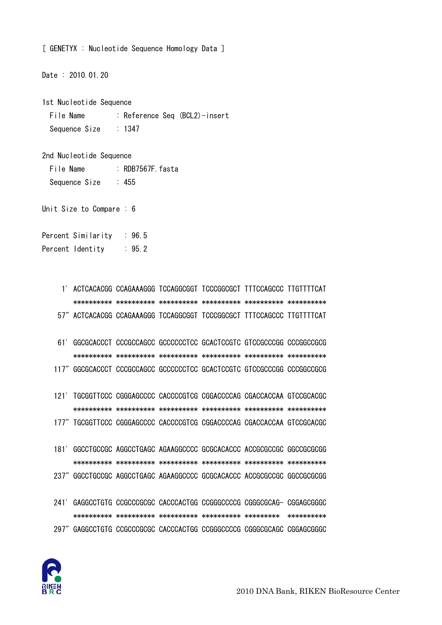

- 241' GAGGCCTGTG CCGCCCGCGC CACCCACTGG CCGGGCCCCG CGGGCGCAG- CGGAGCGGGC 297" GAGGCCTGTG CCGCCCGCGC CACCCACTGG CCGGGCCCCG CGGGCGCAGC CGGAGCGGGC
- 181' GGCCTGCCGC AGGCCTGAGC AGAAGGCCCC GCGCACACCC ACCGCGCCGC GGCCGCGCGG 237" GGCCTGCCGC AGGCCTGAGC AGAAGGCCCC GCGCACACCC ACCGCGCCGC GGCCGCGCGG
- 177" TGCGGTTCCC CGGGAGCCCC CACCCCGTCG CGGACCCCAG CGACCACCAA GTCCGCACGC

121' TGCGGTTCCC CGGGAGCCCC CACCCCGTCG CGGACCCCAG CGACCACCAA GTCCGCACGC

- 61' GGCGCACCCT CCCGCCAGCC GCCCCCCTCC GCACTCCGTC GTCCGCCCGG CCCGGCCGCG 117" GGCGCACCCT CCCGCCAGCC GCCCCCCTCC GCACTCCGTC GTCCGCCCGG CCCGGCCGCG
- 57" ACTCACACGG CCAGAAAGGG TCCAGGCGGT TCCCGGCGCT TTTCCAGCCC TTGTTTTCAT

1' ACTCACACGG CCAGAAAGGG TCCAGGCGGT TCCCGGCGCT TTTCCAGCCC TTGTTTTCAT

Percent Identity : 95.2

Unit Size to Compare: 6

: Reference Seq (BCL2)-insert File Name  $: 1347$ Sequence Size

 $\therefore$  455

 $.96.5$ 

: RDB7567F fasta

Date: 2010.01.20

1st Nucleotide Sequence

2nd Nucleotide Sequence

File Name

Sequence Size

Percent Similarity

[ GENETYX : Nucleotide Sequence Homology Data ]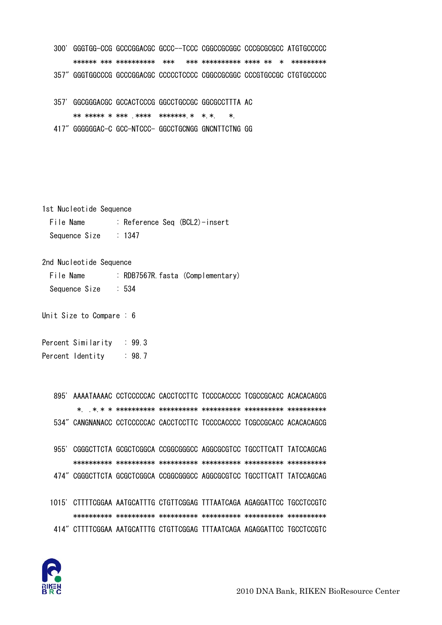|      | 300' GGGTGG-CCG GCCCGGACGC GCCC--TCCC CGGCCGCGGC CCCGCGCGCC ATGTGCCCCC |                           |                                     |  |
|------|------------------------------------------------------------------------|---------------------------|-------------------------------------|--|
|      |                                                                        | ****** *** ********** *** | *** *********** **** ** * ********* |  |
|      | 357" GGGTGGCCCG GCCCGGACGC CCCCCTCCCC CGGCCGCGGC CCCGTGCCGC CTGTGCCCCC |                           |                                     |  |
| 357' | GGCGGGACGC GCCACTCCCG GGCCTGCCGC GGCGCCTTTA AC                         |                           |                                     |  |

\*\* \*\*\*\*\* \* \*\*\* \*\*\*\* \*\*\*\*\*\*\*\* \* \* \*  $\ast$ 

417" GGGGGGAC-C GCC-NTCCC- GGCCTGCNGG GNCNTTCTNG GG

1st Nucleotide Sequence

File Name : Reference Seq (BCL2)-insert Sequence Size  $\therefore$  1347

2nd Nucleotide Sequence

File Name : RDB7567R. fasta (Complementary) Sequence Size  $\therefore$  534

Unit Size to Compare : 6

Percent Similarity  $\therefore$  99.3 Percent Identity  $: 98.7$ 

> 895' AAAATAAAAC CCTCCCCCAC CACCTCCTTC TCCCCACCCC TCGCCGCACC ACACACAGCG 534" CANGNANACC CCTCCCCCAC CACCTCCTTC TCCCCACCCC TCGCCGCACC ACACACAGCG

- 955' CGGGCTTCTA GCGCTCGGCA CCGGCGGGCC AGGCGCGTCC TGCCTTCATT TATCCAGCAG 474" CGGGCTTCTA GCGCTCGGCA CCGGCGGGCC AGGCGCGTCC TGCCTTCATT TATCCAGCAG
- 1015' CTTTTCGGAA AATGCATTTG CTGTTCGGAG TTTAATCAGA AGAGGATTCC TGCCTCCGTC 414" CTTTTCGGAA AATGCATTTG CTGTTCGGAG TTTAATCAGA AGAGGATTCC TGCCTCCGTC